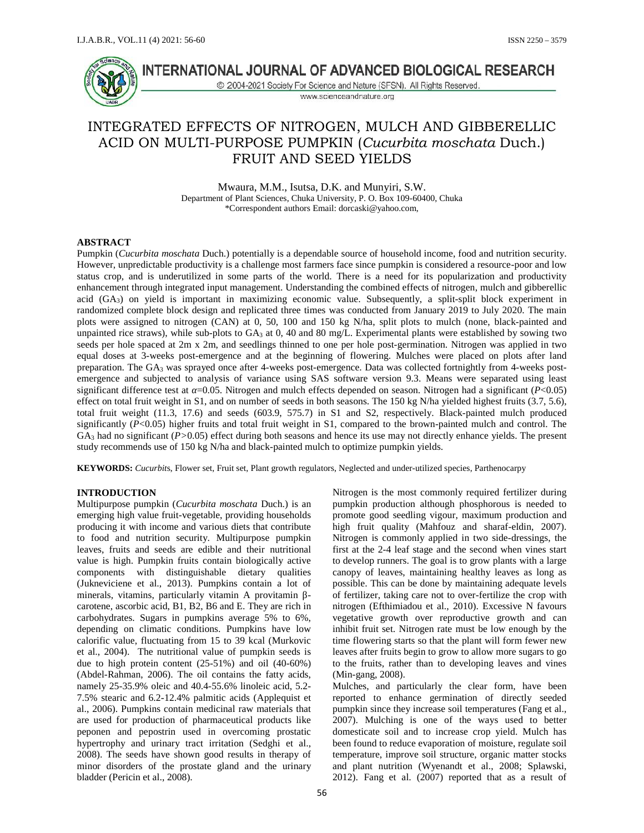

# INTERNATIONAL JOURNAL OF ADVANCED BIOLOGICAL RESEARCH

C 2004-2021 Society For Science and Nature (SFSN). All Rights Reserved. www.scienceandnature.org

# INTEGRATED EFFECTS OF NITROGEN, MULCH AND GIBBERELLIC ACID ON MULTI-PURPOSE PUMPKIN (*Cucurbita moschata* Duch.) FRUIT AND SEED YIELDS

Mwaura, M.M., Isutsa, D.K. and Munyiri, S.W. Department of Plant Sciences, Chuka University, P. O. Box 109-60400, Chuka \*Correspondent authors Email: dorcaski@yahoo.com,

#### **ABSTRACT**

Pumpkin (*Cucurbita moschata* Duch.) potentially is a dependable source of household income, food and nutrition security. However, unpredictable productivity is a challenge most farmers face since pumpkin is considered a resource-poor and low status crop, and is underutilized in some parts of the world. There is a need for its popularization and productivity enhancement through integrated input management. Understanding the combined effects of nitrogen, mulch and gibberellic acid  $(GA<sub>3</sub>)$  on yield is important in maximizing economic value. Subsequently, a split-split block experiment in randomized complete block design and replicated three times was conducted from January 2019 to July 2020. The main plots were assigned to nitrogen (CAN) at 0, 50, 100 and 150 kg N/ha, split plots to mulch (none, black-painted and unpainted rice straws), while sub-plots to  $GA_3$  at 0, 40 and 80 mg/L. Experimental plants were established by sowing two seeds per hole spaced at 2m x 2m, and seedlings thinned to one per hole post-germination. Nitrogen was applied in two equal doses at 3-weeks post-emergence and at the beginning of flowering. Mulches were placed on plots after land preparation. The GA<sup>3</sup> was sprayed once after 4-weeks post-emergence. Data was collected fortnightly from 4-weeks post emergence and subjected to analysis of variance using SAS software version 9.3. Means were separated using least significant difference test at =0.05. Nitrogen and mulch effects depended on season. Nitrogen had a significant (*P*<0.05) effect on total fruit weight in S1, and on number of seeds in both seasons. The 150 kg N/ha yielded highest fruits (3.7, 5.6), total fruit weight (11.3, 17.6) and seeds (603.9, 575.7) in S1 and S2, respectively. Black-painted mulch produced significantly  $(P<0.05)$  higher fruits and total fruit weight in S1, compared to the brown-painted mulch and control. The  $GA_3$  had no significant  $(P>0.05)$  effect during both seasons and hence its use may not directly enhance yields. The present study recommends use of 150 kg N/ha and black-painted mulch to optimize pumpkin yields.

**KEYWORDS:** *Cucurbit*s, Flower set, Fruit set, Plant growth regulators, Neglected and under-utilized species, Parthenocarpy

### **INTRODUCTION**

Multipurpose pumpkin (*Cucurbita moschata* Duch.) is an emerging high value fruit-vegetable, providing households producing it with income and various diets that contribute to food and nutrition security. Multipurpose pumpkin leaves, fruits and seeds are edible and their nutritional value is high. Pumpkin fruits contain biologically active components with distinguishable dietary qualities (Jukneviciene et al., 2013). Pumpkins contain a lot of minerals, vitamins, particularly vitamin A provitamin carotene, ascorbic acid, B1, B2, B6 and E. They are rich in carbohydrates. Sugars in pumpkins average 5% to 6%, depending on climatic conditions. Pumpkins have low calorific value, fluctuating from 15 to 39 kcal (Murkovic et al., 2004). The nutritional value of pumpkin seeds is due to high protein content (25-51%) and oil (40-60%) (Abdel-Rahman, 2006). The oil contains the fatty acids, namely 25-35.9% oleic and 40.4-55.6% linoleic acid, 5.2- 7.5% stearic and 6.2-12.4% palmitic acids (Applequist et al., 2006). Pumpkins contain medicinal raw materials that are used for production of pharmaceutical products like peponen and pepostrin used in overcoming prostatic hypertrophy and urinary tract irritation (Sedghi et al., 2008). The seeds have shown good results in therapy of minor disorders of the prostate gland and the urinary bladder (Pericin et al., 2008).

Nitrogen is the most commonly required fertilizer during pumpkin production although phosphorous is needed to promote good seedling vigour, maximum production and high fruit quality (Mahfouz and sharaf-eldin, 2007). Nitrogen is commonly applied in two side-dressings, the first at the 2-4 leaf stage and the second when vines start to develop runners. The goal is to grow plants with a large canopy of leaves, maintaining healthy leaves as long as possible. This can be done by maintaining adequate levels of fertilizer, taking care not to over-fertilize the crop with nitrogen (Efthimiadou et al., 2010). Excessive N favours vegetative growth over reproductive growth and can inhibit fruit set. Nitrogen rate must be low enough by the time flowering starts so that the plant will form fewer new leaves after fruits begin to grow to allow more sugars to go to the fruits, rather than to developing leaves and vines (Min-gang, 2008).

Mulches, and particularly the clear form, have been reported to enhance germination of directly seeded pumpkin since they increase soil temperatures (Fang et al., 2007). Mulching is one of the ways used to better domesticate soil and to increase crop yield. Mulch has been found to reduce evaporation of moisture, regulate soil temperature, improve soil structure, organic matter stocks and plant nutrition (Wyenandt et al., 2008; Splawski, 2012). Fang et al. (2007) reported that as a result of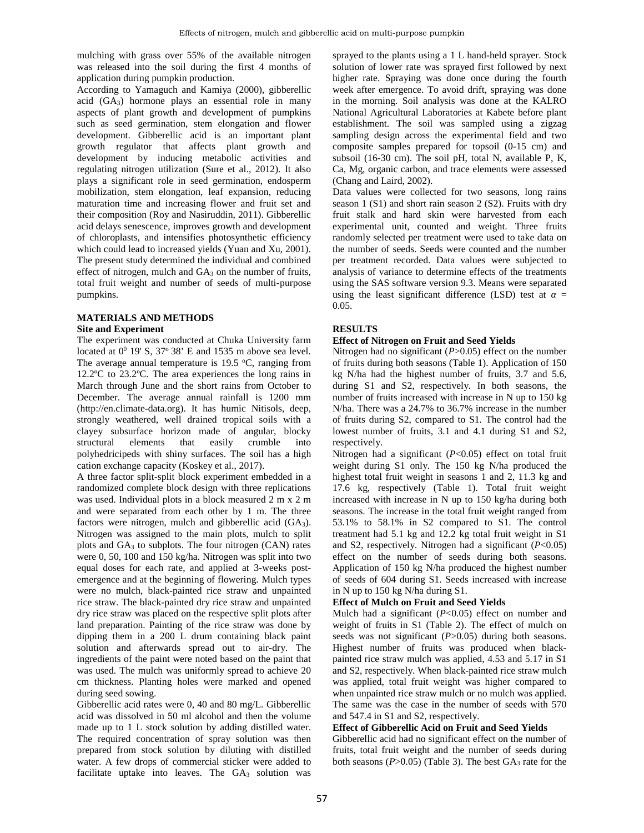mulching with grass over 55% of the available nitrogen was released into the soil during the first 4 months of application during pumpkin production.

According to Yamaguch and Kamiya (2000), gibberellic acid (GA3) hormone plays an essential role in many aspects of plant growth and development of pumpkins such as seed germination, stem elongation and flower development. Gibberellic acid is an important plant growth regulator that affects plant growth and development by inducing metabolic activities and regulating nitrogen utilization (Sure et al., 2012). It also plays a significant role in seed germination, endosperm mobilization, stem elongation, leaf expansion, reducing maturation time and increasing flower and fruit set and their composition (Roy and Nasiruddin, 2011). Gibberellic acid delays senescence, improves growth and development of chloroplasts, and intensifies photosynthetic efficiency which could lead to increased yields (Yuan and Xu, 2001). The present study determined the individual and combined effect of nitrogen, mulch and  $GA_3$  on the number of fruits, total fruit weight and number of seeds of multi-purpose pumpkins.

### **MATERIALS AND METHODS Site and Experiment**

The experiment was conducted at Chuka University farm located at  $0^0$  19' S, 37 $\degree$  38' E and 1535 m above sea level. The average annual temperature is  $19.5 \text{ °C}$ , ranging from 12.2ºC to 23.2ºC. The area experiences the long rains in March through June and the short rains from October to December. The average annual rainfall is 1200 mm (http://en.climate-data.org). It has humic Nitisols, deep, strongly weathered, well drained tropical soils with a clayey subsurface horizon made of angular, blocky structural elements that easily crumble into polyhedricipeds with shiny surfaces. The soil has a high cation exchange capacity (Koskey et al., 2017).

A three factor split-split block experiment embedded in a randomized complete block design with three replications was used. Individual plots in a block measured 2 m x 2 m and were separated from each other by 1 m. The three factors were nitrogen, mulch and gibberellic acid  $(GA_3)$ . Nitrogen was assigned to the main plots, mulch to split plots and  $GA<sub>3</sub>$  to subplots. The four nitrogen (CAN) rates were 0, 50, 100 and 150 kg/ha. Nitrogen was split into two equal doses for each rate, and applied at 3-weeks post emergence and at the beginning of flowering. Mulch types were no mulch, black-painted rice straw and unpainted rice straw. The black-painted dry rice straw and unpainted dry rice straw was placed on the respective split plots after land preparation. Painting of the rice straw was done by dipping them in a 200 L drum containing black paint solution and afterwards spread out to air-dry. The ingredients of the paint were noted based on the paint that was used. The mulch was uniformly spread to achieve 20 cm thickness. Planting holes were marked and opened during seed sowing.

Gibberellic acid rates were 0, 40 and 80 mg/L. Gibberellic acid was dissolved in 50 ml alcohol and then the volume made up to 1 L stock solution by adding distilled water. The required concentration of spray solution was then prepared from stock solution by diluting with distilled water. A few drops of commercial sticker were added to facilitate uptake into leaves. The GA3 solution was sprayed to the plants using a 1 L hand-held sprayer. Stock solution of lower rate was sprayed first followed by next higher rate. Spraying was done once during the fourth week after emergence. To avoid drift, spraying was done in the morning. Soil analysis was done at the KALRO National Agricultural Laboratories at Kabete before plant establishment. The soil was sampled using a zigzag sampling design across the experimental field and two composite samples prepared for topsoil (0-15 cm) and subsoil (16-30 cm). The soil pH, total N, available P, K, Ca, Mg, organic carbon, and trace elements were assessed (Chang and Laird, 2002).

Data values were collected for two seasons, long rains season 1 (S1) and short rain season 2 (S2). Fruits with dry fruit stalk and hard skin were harvested from each experimental unit, counted and weight. Three fruits randomly selected per treatment were used to take data on the number of seeds. Seeds were counted and the number per treatment recorded. Data values were subjected to analysis of variance to determine effects of the treatments using the SAS software version 9.3. Means were separated using the least significant difference  $(LSD)$  test at  $=$ 0.05.

## **RESULTS**

## **Effect of Nitrogen on Fruit and Seed Yields**

Nitrogen had no significant (*P*>0.05) effect on the number of fruits during both seasons (Table 1). Application of 150 kg N/ha had the highest number of fruits, 3.7 and 5.6, during S1 and S2, respectively. In both seasons, the number of fruits increased with increase in N up to 150 kg N/ha. There was a 24.7% to 36.7% increase in the number of fruits during S2, compared to S1. The control had the lowest number of fruits, 3.1 and 4.1 during S1 and S2, respectively.

Nitrogen had a significant (*P*<0.05) effect on total fruit weight during S1 only. The 150 kg N/ha produced the highest total fruit weight in seasons 1 and 2, 11.3 kg and 17.6 kg, respectively (Table 1). Total fruit weight increased with increase in N up to 150 kg/ha during both seasons. The increase in the total fruit weight ranged from 53.1% to 58.1% in S2 compared to S1. The control treatment had 5.1 kg and 12.2 kg total fruit weight in S1 and S2, respectively. Nitrogen had a significant (*P*<0.05) effect on the number of seeds during both seasons. Application of 150 kg N/ha produced the highest number of seeds of 604 during S1. Seeds increased with increase in N up to 150 kg N/ha during S1.

## **Effect of Mulch on Fruit and Seed Yields**

Mulch had a significant (*P*<0.05) effect on number and weight of fruits in S1 (Table 2). The effect of mulch on seeds was not significant (*P*>0.05) during both seasons. Highest number of fruits was produced when black painted rice straw mulch was applied, 4.53 and 5.17 in S1 and S2, respectively. When black-painted rice straw mulch was applied, total fruit weight was higher compared to when unpainted rice straw mulch or no mulch was applied. The same was the case in the number of seeds with 570 and 547.4 in S1 and S2, respectively.

## **Effect of Gibberellic Acid on Fruit and Seed Yields**

Gibberellic acid had no significant effect on the number of fruits, total fruit weight and the number of seeds during both seasons ( $P > 0.05$ ) (Table 3). The best GA<sub>3</sub> rate for the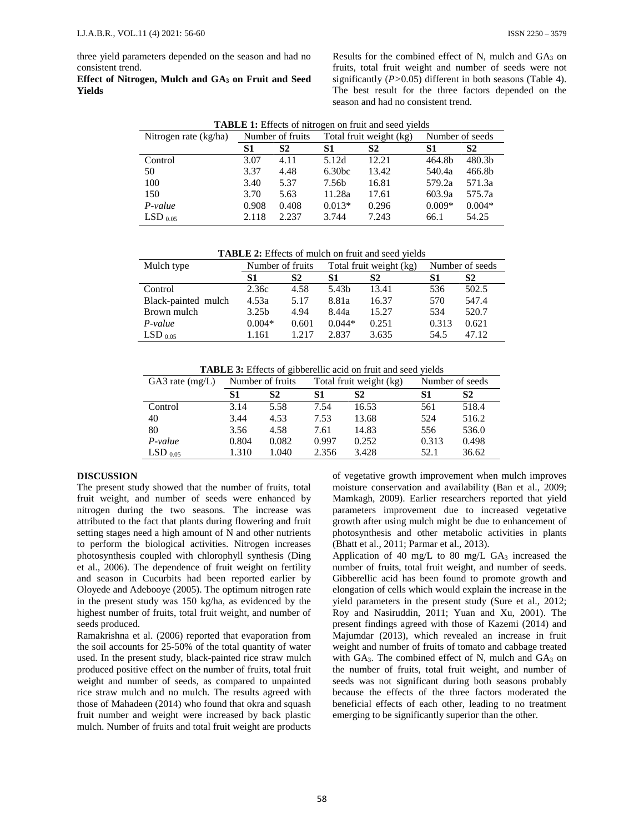three yield parameters depended on the season and had no consistent trend.

**Effect of Nitrogen, Mulch and GA<sup>3</sup> on Fruit and Seed Yields**

Results for the combined effect of N, mulch and  $GA_3$  on fruits, total fruit weight and number of seeds were not significantly (*P>*0.05) different in both seasons (Table 4). The best result for the three factors depended on the season and had no consistent trend.

| Nitrogen rate (kg/ha) | Total fruit weight (kg)<br>Number of fruits |                | Number of seeds    |                |          |                |
|-----------------------|---------------------------------------------|----------------|--------------------|----------------|----------|----------------|
|                       | S1                                          | S <sub>2</sub> | S1                 | S <sub>2</sub> | S1       | S <sub>2</sub> |
| Control               | 3.07                                        | 4.11           | 5.12d              | 12.21          | 464.8b   | 480.3b         |
| 50                    | 3.37                                        | 4.48           | 6.30 <sub>bc</sub> | 13.42          | 540.4a   | 466.8b         |
| 100                   | 3.40                                        | 5.37           | 7.56b              | 16.81          | 579.2a   | 571.3a         |
| 150                   | 3.70                                        | 5.63           | 11.28a             | 17.61          | 603.9a   | 575.7a         |
| $P-value$             | 0.908                                       | 0.408          | $0.013*$           | 0.296          | $0.009*$ | $0.004*$       |
| $LSD_{0.05}$          | 2.118                                       | 2.237          | 3.744              | 7.243          | 66.1     | 54.25          |

**TABLE 2:** Effects of mulch on fruit and seed yields

| Mulch type          | Number of fruits  |       | Total fruit weight (kg) |       | Number of seeds |       |
|---------------------|-------------------|-------|-------------------------|-------|-----------------|-------|
|                     | S1                | S2    | S1                      | S2    | S1              | S2    |
| Control             | 2.36c             | 4.58  | 5.43b                   | 13.41 | 536             | 502.5 |
| Black-painted mulch | 4.53a             | 5.17  | 8.81a                   | 16.37 | 570             | 547.4 |
| Brown mulch         | 3.25 <sub>b</sub> | 4.94  | 8.44a                   | 15.27 | 534             | 520.7 |
| P-value             | $0.004*$          | 0.601 | $0.044*$                | 0.251 | 0.313           | 0.621 |
| $LSD$ 0.05          | 1.161             | 1.217 | 2.837                   | 3.635 | 54.5            | 47.12 |

**TABLE 3:** Effects of gibberellic acid on fruit and seed yields

| GA3 rate $(mg/L)$ | Number of fruits |       |       | Total fruit weight (kg) | Number of seeds |       |
|-------------------|------------------|-------|-------|-------------------------|-----------------|-------|
|                   | S1               | S2    | S1    | S <sub>2</sub>          | S1              | S2    |
| Control           | 3.14             | 5.58  | 7.54  | 16.53                   | 561             | 518.4 |
| 40                | 3.44             | 4.53  | 7.53  | 13.68                   | 524             | 516.2 |
| 80                | 3.56             | 4.58  | 7.61  | 14.83                   | 556             | 536.0 |
| $P-value$         | 0.804            | 0.082 | 0.997 | 0.252                   | 0.313           | 0.498 |
| $LSD_{0.05}$      | 1.310            | 1.040 | 2.356 | 3.428                   | 52.1            | 36.62 |

## **DISCUSSION**

The present study showed that the number of fruits, total fruit weight, and number of seeds were enhanced by nitrogen during the two seasons. The increase was attributed to the fact that plants during flowering and fruit setting stages need a high amount of N and other nutrients to perform the biological activities. Nitrogen increases photosynthesis coupled with chlorophyll synthesis (Ding et al., 2006). The dependence of fruit weight on fertility and season in Cucurbits had been reported earlier by Oloyede and Adebooye (2005). The optimum nitrogen rate in the present study was 150 kg/ha, as evidenced by the highest number of fruits, total fruit weight, and number of seeds produced.

Ramakrishna et al. (2006) reported that evaporation from the soil accounts for 25-50% of the total quantity of water used. In the present study, black-painted rice straw mulch produced positive effect on the number of fruits, total fruit weight and number of seeds, as compared to unpainted rice straw mulch and no mulch. The results agreed with those of Mahadeen (2014) who found that okra and squash fruit number and weight were increased by back plastic mulch. Number of fruits and total fruit weight are products of vegetative growth improvement when mulch improves moisture conservation and availability (Ban et al., 2009; Mamkagh, 2009). Earlier researchers reported that yield parameters improvement due to increased vegetative growth after using mulch might be due to enhancement of photosynthesis and other metabolic activities in plants (Bhatt et al., 2011; Parmar et al., 2013).

Application of 40 mg/L to 80 mg/L  $GA_3$  increased the number of fruits, total fruit weight, and number of seeds. Gibberellic acid has been found to promote growth and elongation of cells which would explain the increase in the yield parameters in the present study (Sure et al., 2012; Roy and Nasiruddin, 2011; Yuan and Xu, 2001). The present findings agreed with those of Kazemi (2014) and Majumdar (2013), which revealed an increase in fruit weight and number of fruits of tomato and cabbage treated with GA<sub>3</sub>. The combined effect of N, mulch and GA<sub>3</sub> on the number of fruits, total fruit weight, and number of seeds was not significant during both seasons probably because the effects of the three factors moderated the beneficial effects of each other, leading to no treatment emerging to be significantly superior than the other.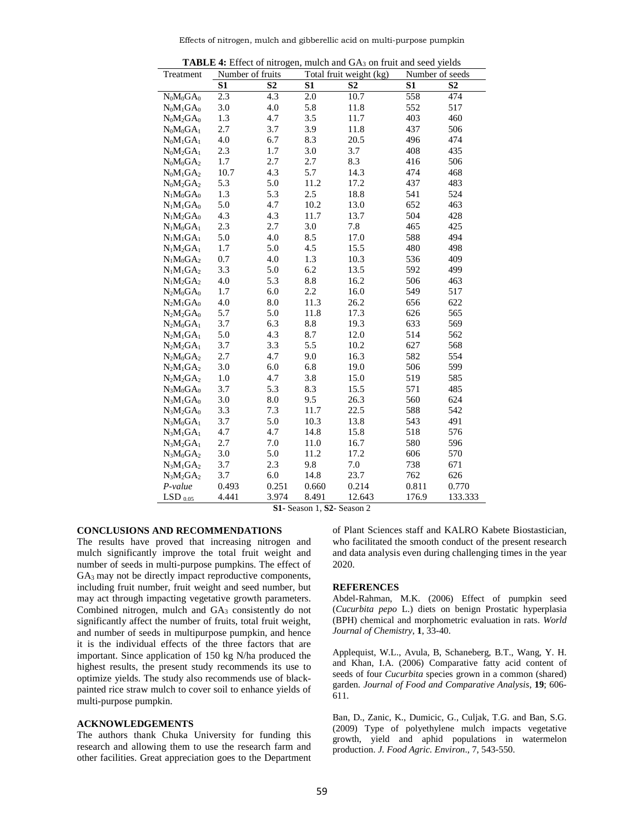Effects of nitrogen, mulch and gibberellic acid on multi-purpose pumpkin

| Treatment                                                        |       | Number of fruits |       | ". Effect of thirogen, materiality of ty on francisco secar fields<br>Total fruit weight (kg) |       | Number of seeds |
|------------------------------------------------------------------|-------|------------------|-------|-----------------------------------------------------------------------------------------------|-------|-----------------|
|                                                                  | S1    | S <sub>2</sub>   | S1    | S <sub>2</sub>                                                                                | S1    | S <sub>2</sub>  |
| $N_0M_0GA_0$                                                     | 2.3   | 4.3              | 2.0   | 10.7                                                                                          | 558   | 474             |
| $N_0M_1GA_0$                                                     | 3.0   | 4.0              | 5.8   | 11.8                                                                                          | 552   | 517             |
| $N_0M_2GA_0$                                                     | 1.3   | 4.7              | 3.5   | 11.7                                                                                          | 403   | 460             |
| $N_0M_0GA_1$                                                     | 2.7   | 3.7              | 3.9   | 11.8                                                                                          | 437   | 506             |
| $N_0M_1GA_1$                                                     | 4.0   | 6.7              | 8.3   | 20.5                                                                                          | 496   | 474             |
| $N_0M_2GA_1$                                                     | 2.3   | 1.7              | 3.0   | 3.7                                                                                           | 408   | 435             |
| $N_0M_0GA_2$                                                     | 1.7   | 2.7              | 2.7   | 8.3                                                                                           | 416   | 506             |
| $N_0M_1GA_2$                                                     | 10.7  | 4.3              | 5.7   | 14.3                                                                                          | 474   | 468             |
| $N_0M_2GA_2$                                                     | 5.3   | 5.0              | 11.2  | 17.2                                                                                          | 437   | 483             |
| $N_1M_0GA_0$                                                     | 1.3   | 5.3              | 2.5   | 18.8                                                                                          | 541   | 524             |
| $N_1M_1GA_0$                                                     | 5.0   | 4.7              | 10.2  | 13.0                                                                                          | 652   | 463             |
| $N_1M_2GA_0$                                                     | 4.3   | 4.3              | 11.7  | 13.7                                                                                          | 504   | 428             |
| $N_1M_0GA_1$                                                     | 2.3   | 2.7              | 3.0   | 7.8                                                                                           | 465   | 425             |
| $\boldsymbol{N}_1\boldsymbol{M}_1\boldsymbol{G}\boldsymbol{A}_1$ | 5.0   | 4.0              | 8.5   | 17.0                                                                                          | 588   | 494             |
| $N_1M_2GA_1$                                                     | 1.7   | 5.0              | 4.5   | 15.5                                                                                          | 480   | 498             |
| $N_1M_0GA_2$                                                     | 0.7   | 4.0              | 1.3   | 10.3                                                                                          | 536   | 409             |
| $N_1M_1GA_2$                                                     | 3.3   | 5.0              | 6.2   | 13.5                                                                                          | 592   | 499             |
| $N_1M_2GA_2$                                                     | 4.0   | 5.3              | 8.8   | 16.2                                                                                          | 506   | 463             |
| $N_2M_0GA_0$                                                     | 1.7   | 6.0              | 2.2   | 16.0                                                                                          | 549   | 517             |
| $N_2M_1GA_0$                                                     | 4.0   | 8.0              | 11.3  | 26.2                                                                                          | 656   | 622             |
| $\rm N_2M_2GA_0$                                                 | 5.7   | 5.0              | 11.8  | 17.3                                                                                          | 626   | 565             |
| $N_2M_0GA_1$                                                     | 3.7   | 6.3              | 8.8   | 19.3                                                                                          | 633   | 569             |
| $N_2M_1GA_1$                                                     | 5.0   | 4.3              | 8.7   | 12.0                                                                                          | 514   | 562             |
| $N_2M_2GA_1$                                                     | 3.7   | 3.3              | 5.5   | 10.2                                                                                          | 627   | 568             |
| $N_2M_0GA_2$                                                     | 2.7   | 4.7              | 9.0   | 16.3                                                                                          | 582   | 554             |
| $N_2M_1GA_2$                                                     | 3.0   | 6.0              | 6.8   | 19.0                                                                                          | 506   | 599             |
| $N_2M_2GA_2$                                                     | 1.0   | 4.7              | 3.8   | 15.0                                                                                          | 519   | 585             |
| $N_3M_0GA_0$                                                     | 3.7   | 5.3              | 8.3   | 15.5                                                                                          | 571   | 485             |
| $N_3M_1GA_0$                                                     | 3.0   | 8.0              | 9.5   | 26.3                                                                                          | 560   | 624             |
| $N_3M_2GA_0$                                                     | 3.3   | 7.3              | 11.7  | 22.5                                                                                          | 588   | 542             |
| $N_3M_0GA_1$                                                     | 3.7   | 5.0              | 10.3  | 13.8                                                                                          | 543   | 491             |
| $N_3M_1GA_1$                                                     | 4.7   | 4.7              | 14.8  | 15.8                                                                                          | 518   | 576             |
| $N_3M_2GA_1$                                                     | 2.7   | 7.0              | 11.0  | 16.7                                                                                          | 580   | 596             |
| $N_3M_0GA_2$                                                     | 3.0   | 5.0              | 11.2  | 17.2                                                                                          | 606   | 570             |
| $N_3M_1GA_2$                                                     | 3.7   | 2.3              | 9.8   | 7.0                                                                                           | 738   | 671             |
| $N_3M_2GA_2$                                                     | 3.7   | 6.0              | 14.8  | 23.7                                                                                          | 762   | 626             |
| $P-value$                                                        | 0.493 | 0.251            | 0.660 | 0.214                                                                                         | 0.811 | 0.770           |
| $LSD$ <sub>0.05</sub>                                            | 4.441 | 3.974            | 8.491 | 12.643                                                                                        | 176.9 | 133.333         |

**TABLE 4:** Effect of nitrogen, mulch and GA<sub>3</sub> on fruit and seed yields

**S1-** Season 1, **S2**- Season 2

#### **CONCLUSIONS AND RECOMMENDATIONS**

The results have proved that increasing nitrogen and mulch significantly improve the total fruit weight and number of seeds in multi-purpose pumpkins. The effect of GA<sub>3</sub> may not be directly impact reproductive components, including fruit number, fruit weight and seed number, but may act through impacting vegetative growth parameters. Combined nitrogen, mulch and GA3 consistently do not significantly affect the number of fruits, total fruit weight, and number of seeds in multipurpose pumpkin, and hence it is the individual effects of the three factors that are important. Since application of 150 kg N/ha produced the highest results, the present study recommends its use to optimize yields. The study also recommends use of black painted rice straw mulch to cover soil to enhance yields of multi-purpose pumpkin.

#### **ACKNOWLEDGEMENTS**

The authors thank Chuka University for funding this research and allowing them to use the research farm and other facilities. Great appreciation goes to the Department of Plant Sciences staff and KALRO Kabete Biostastician, who facilitated the smooth conduct of the present research and data analysis even during challenging times in the year 2020.

#### **REFERENCES**

Abdel-Rahman, M.K. (2006) Effect of pumpkin seed (*Cucurbita pepo* L.) diets on benign Prostatic hyperplasia (BPH) chemical and morphometric evaluation in rats. *World Journal of Chemistry*, **1**, 33-40.

Applequist, W.L., Avula, B, Schaneberg, B.T., Wang, Y. H. and Khan, I.A. (2006) Comparative fatty acid content of seeds of four *Cucurbita* species grown in a common (shared) garden. *Journal of Food and Comparative Analysis*, **19**; 606- 611.

Ban, D., Zanic, K., Dumicic, G., Culjak, T.G. and Ban, S.G. (2009) Type of polyethylene mulch impacts vegetative growth, yield and aphid populations in watermelon production. *J. Food Agric. Environ*., 7, 543-550.